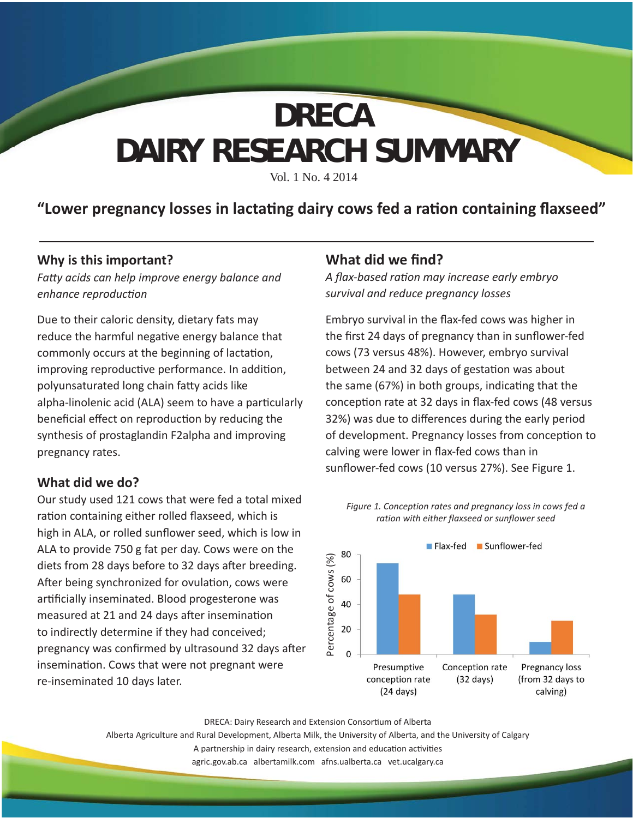# **DAIRY RESEARCH SUMMARY DRECA**

Vol. 1 No. 4 2014

### "Lower pregnancy losses in lactating dairy cows fed a ration containing flaxseed"

#### **Why is this important?**

*Fatt y acids can help improve energy balance and enhance reproducti on*

Due to their caloric density, dietary fats may reduce the harmful negative energy balance that commonly occurs at the beginning of lactation, improving reproductive performance. In addition, polyunsaturated long chain fatty acids like alpha-linolenic acid (ALA) seem to have a particularly beneficial effect on reproduction by reducing the synthesis of prostaglandin F2alpha and improving pregnancy rates.

#### **What did we do?**

Our study used 121 cows that were fed a total mixed ration containing either rolled flaxseed, which is high in ALA, or rolled sunflower seed, which is low in ALA to provide 750 g fat per day. Cows were on the diets from 28 days before to 32 days after breeding. After being synchronized for ovulation, cows were artificially inseminated. Blood progesterone was measured at 21 and 24 days after insemination to indirectly determine if they had conceived; pregnancy was confirmed by ultrasound 32 days after insemination. Cows that were not pregnant were re-inseminated 10 days later.

### **What did we find?**

*A fl ax-based rati on may increase early embryo survival and reduce pregnancy losses*

Embryo survival in the flax-fed cows was higher in the first 24 days of pregnancy than in sunflower-fed cows (73 versus 48%). However, embryo survival between 24 and 32 days of gestation was about the same (67%) in both groups, indicating that the conception rate at 32 days in flax-fed cows (48 versus 32%) was due to differences during the early period of development. Pregnancy losses from conception to calving were lower in flax-fed cows than in sunflower-fed cows (10 versus 27%). See Figure 1.



*Figure 1. Conception rates and pregnancy loss in cows fed a ration with either flaxseed or sunflower seed* 

DRECA: Dairy Research and Extension Consortium of Alberta

Alberta Agriculture and Rural Development, Alberta Milk, the University of Alberta, and the University of Calgary A partnership in dairy research, extension and education activities agric.gov.ab.ca albertamilk.com afns.ualberta.ca vet.ucalgary.ca